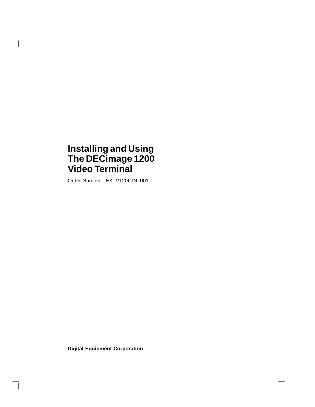## **Installing and Using The DECimage 1200 Video Terminal**

H

Order Number EK–V120I–IN–001

**Digital Equipment Corporation**

 $\overline{\Gamma}$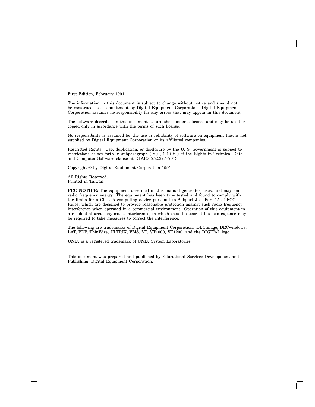First Edition, February 1991

The information in this document is subject to change without notice and should not be construed as a commitment by Digital Equipment Corporation. Digital Equipment Corporation assumes no responsibility for any errors that may appear in this document.

The software described in this document is furnished under a license and may be used or copied only in accordance with the terms of such license.

No responsibility is assumed for the use or reliability of software on equipment that is not supplied by Digital Equipment Corporation or its affiliated companies.

Restricted Rights: Use, duplication, or disclosure by the U. S. Government is subject to restrictions as set forth in subparagraph (c) (1) (ii) of the Rights in Technical Data and Computer Software clause at DFARS 252.227–7013.

Copyright © by Digital Equipment Corporation 1991

All Rights Reserved. Printed in Taiwan.

**FCC NOTICE:** The equipment described in this manual generates, uses, and may emit radio frequency energy. The equipment has been type tested and found to comply with the limits for a Class A computing device pursuant to Subpart J of Part 15 of FCC Rules, which are designed to provide reasonable protection against such radio frequency interference when operated in a commercial environment. Operation of this equipment in a residential area may cause interference, in which case the user at his own expense may be required to take measures to correct the interference.

The following are trademarks of Digital Equipment Corporation: DECimage, DECwindows, LAT, PDP, ThinWire, ULTRIX, VMS, VT, VT1000, VT1200, and the DIGITAL logo.

UNIX is a registered trademark of UNIX System Laboratories.

This document was prepared and published by Educational Services Development and Publishing, Digital Equipment Corporation.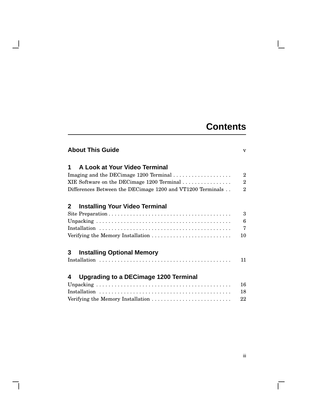## **Contents**

| <b>About This Guide</b>                                    |                |
|------------------------------------------------------------|----------------|
| A Look at Your Video Terminal<br>1                         |                |
| Imaging and the DECimage 1200 Terminal                     | $\overline{2}$ |
| XIE Software on the DECimage 1200 Terminal                 | $\overline{2}$ |
| Differences Between the DECimage 1200 and VT1200 Terminals | $\overline{2}$ |
| <b>Installing Your Video Terminal</b><br>2                 |                |
|                                                            | 3              |
|                                                            | 6              |
|                                                            | $\overline{7}$ |
| Verifying the Memory Installation                          | 10             |
| <b>Installing Optional Memory</b><br>3                     |                |
|                                                            | 11             |
| <b>Upgrading to a DECimage 1200 Terminal</b><br>4          |                |
|                                                            | 16             |
|                                                            | 18             |
|                                                            | 22             |

 $\overline{\phantom{a}}$ 

 $\overline{\Gamma}$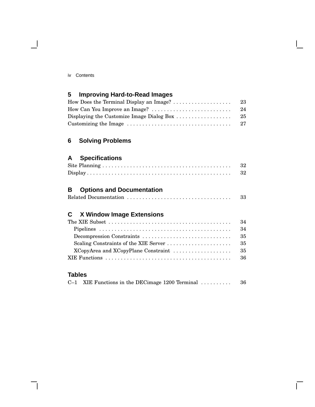$\blacksquare$ 

## **5 Improving Hard-to-Read Images**

|                                                                                    | -23 |
|------------------------------------------------------------------------------------|-----|
| How Can You Improve an Image? $\dots\dots\dots\dots\dots\dots\dots\dots\dots\dots$ | -24 |
| Displaying the Customize Image Dialog Box $\dots\dots\dots\dots\dots\dots$         | -25 |
|                                                                                    |     |

## **6 Solving Problems**

## **A Specifications**

| -32 |
|-----|
| 32  |

## **B Options and Documentation**

| 33 |
|----|
|----|

## **C X Window Image Extensions**

| The XIE Subset $\dots\dots\dots\dots\dots\dots\dots\dots\dots\dots\dots\dots\dots\dots\dots$ | 34  |
|----------------------------------------------------------------------------------------------|-----|
|                                                                                              | 34  |
|                                                                                              | 35  |
|                                                                                              | 35  |
|                                                                                              | 35  |
|                                                                                              | -36 |
|                                                                                              |     |

## **Tables**

|  | $C-1$ XIE Functions in the DECimage 1200 Terminal $\ldots \ldots \ldots$ | -36 |
|--|--------------------------------------------------------------------------|-----|
|--|--------------------------------------------------------------------------|-----|

Г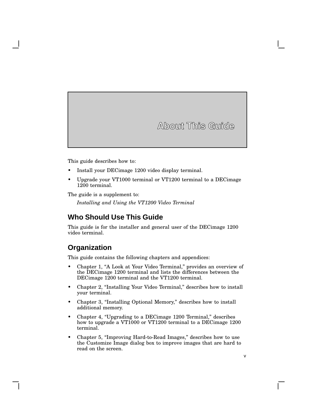**About This Guide**

This guide describes how to:

- Install your DECimage 1200 video display terminal.
- Upgrade your VT1000 terminal or VT1200 terminal to a DECimage 1200 terminal.

The guide is a supplement to:

*Installing and Using the VT1200 Video Terminal*

## **Who Should Use This Guide**

This guide is for the installer and general user of the DECimage 1200 video terminal.

## **Organization**

This guide contains the following chapters and appendices:

- Chapter 1, "A Look at Your Video Terminal," provides an overview of the DECimage 1200 terminal and lists the differences between the DECimage 1200 terminal and the VT1200 terminal.
- Chapter 2, "Installing Your Video Terminal," describes how to install your terminal.
- Chapter 3, "Installing Optional Memory," describes how to install additional memory.
- Chapter 4, "Upgrading to a DECimage 1200 Terminal," describes how to upgrade a VT1000 or VT1200 terminal to a DECimage 1200 terminal.
- Chapter 5, "Improving Hard-to-Read Images," describes how to use the Customize Image dialog box to improve images that are hard to read on the screen.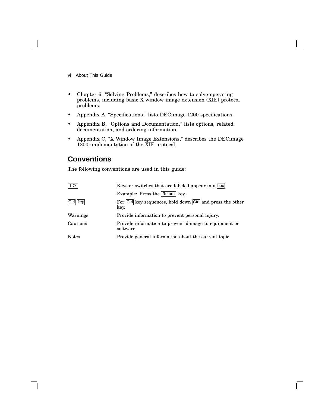- vi About This Guide
- Chapter 6, "Solving Problems," describes how to solve operating problems, including basic X window image extension (XIE) protocol problems.
- Appendix A, "Specifications," lists DECimage 1200 specifications.
- Appendix B, "Options and Documentation," lists options, related documentation, and ordering information.
- Appendix C, "X Window Image Extensions," describes the DECimage 1200 implementation of the XIE protocol.

## **Conventions**

The following conventions are used in this guide:

| I O          | Keys or switches that are labeled appear in a box.                 |  |
|--------------|--------------------------------------------------------------------|--|
|              | Example: Press the Return key.                                     |  |
| Ctrl key     | For Ctrl key sequences, hold down Ctrl and press the other<br>key. |  |
| Warnings     | Provide information to prevent personal injury.                    |  |
| Cautions     | Provide information to prevent damage to equipment or<br>software. |  |
| <b>Notes</b> | Provide general information about the current topic.               |  |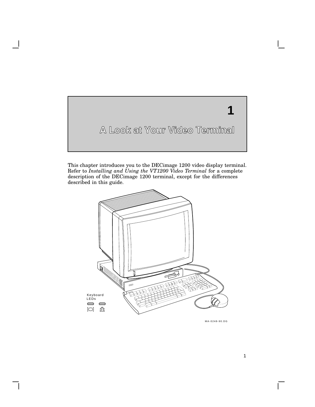

This chapter introduces you to the DECimage 1200 video display terminal. Refer to *Installing and Using the VT1200 Video Terminal* for a complete description of the DECimage 1200 terminal, except for the differences described in this guide.



GSF\_0837\_89A.DG MA-0248-90.DG

 $\mathsf{L}$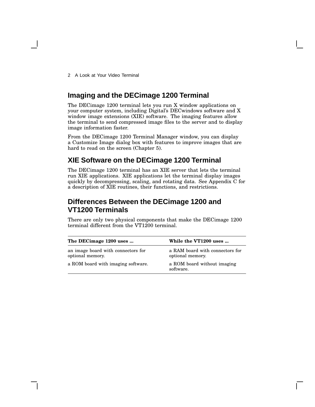2 A Look at Your Video Terminal

## **Imaging and the DECimage 1200 Terminal**

The DECimage 1200 terminal lets you run X window applications on your computer system, including Digital's DECwindows software and X window image extensions (XIE) software. The imaging features allow the terminal to send compressed image files to the server and to display image information faster.

From the DECimage 1200 Terminal Manager window, you can display a Customize Image dialog box with features to improve images that are hard to read on the screen (Chapter 5).

## **XIE Software on the DECimage 1200 Terminal**

The DECimage 1200 terminal has an XIE server that lets the terminal run XIE applications. XIE applications let the terminal display images quickly by decompressing, scaling, and rotating data. See Appendix C for a description of XIE routines, their functions, and restrictions.

## **Differences Between the DECimage 1200 and VT1200 Terminals**

There are only two physical components that make the DECimage 1200 terminal different from the VT1200 terminal.

| The DECimage 1200 uses                                 | While the VT1200 uses                               |  |
|--------------------------------------------------------|-----------------------------------------------------|--|
| an image board with connectors for<br>optional memory. | a RAM board with connectors for<br>optional memory. |  |
| a ROM board with imaging software.                     | a ROM board without imaging<br>software.            |  |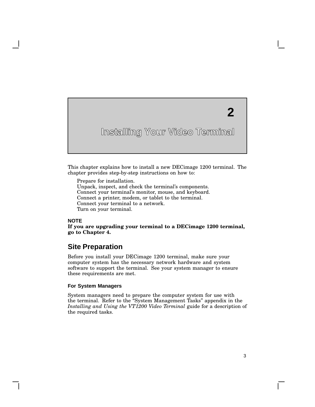# **2**

## **Installing Your Video Terminal**

This chapter explains how to install a new DECimage 1200 terminal. The chapter provides step-by-step instructions on how to:

Prepare for installation.

Unpack, inspect, and check the terminal's components. Connect your terminal's monitor, mouse, and keyboard.

Connect a printer, modem, or tablet to the terminal.

Connect your terminal to a network.

Turn on your terminal.

#### **NOTE**

**If you are upgrading your terminal to a DECimage 1200 terminal, go to Chapter 4.**

#### **Site Preparation**

Before you install your DECimage 1200 terminal, make sure your computer system has the necessary network hardware and system software to support the terminal. See your system manager to ensure these requirements are met.

#### **For System Managers**

System managers need to prepare the computer system for use with the terminal. Refer to the ''System Management Tasks'' appendix in the *Installing and Using the VT1200 Video Terminal* guide for a description of the required tasks.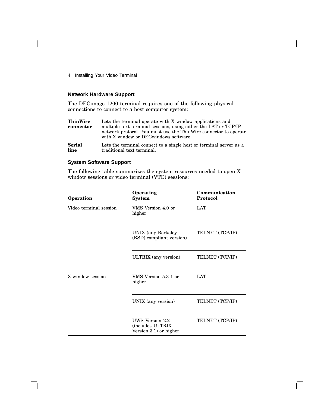#### **Network Hardware Support**

The DECimage 1200 terminal requires one of the following physical connections to connect to a host computer system:

| <b>ThinWire</b><br>Lets the terminal operate with X window applications and<br>multiple text terminal sessions, using either the LAT or TCP/IP<br>connector<br>network protocol. You must use the ThinWire connector to operate<br>with X window or DEC windows software. |                                                                    |
|---------------------------------------------------------------------------------------------------------------------------------------------------------------------------------------------------------------------------------------------------------------------------|--------------------------------------------------------------------|
| <b>Serial</b>                                                                                                                                                                                                                                                             | Lets the terminal connect to a single host or terminal server as a |
| line                                                                                                                                                                                                                                                                      | traditional text terminal.                                         |

#### **System Software Support**

The following table summarizes the system resources needed to open X window sessions or video terminal (VTE) sessions:

| Operation              | Operating<br><b>System</b>                                    | Communication<br><b>Protocol</b> |
|------------------------|---------------------------------------------------------------|----------------------------------|
| Video terminal session | VMS Version 4.0 or<br>higher                                  | <b>LAT</b>                       |
|                        | <b>UNIX</b> (any Berkeley<br>(BSD) compliant version)         | TELNET (TCP/IP)                  |
|                        | ULTRIX (any version)                                          | TELNET (TCP/IP)                  |
| X window session       | VMS Version 5.3-1 or<br>higher                                | <b>LAT</b>                       |
|                        | UNIX (any version)                                            | TELNET (TCP/IP)                  |
|                        | UWS Version 2.2<br>(includes ULTRIX<br>Version 3.1) or higher | TELNET (TCP/IP)                  |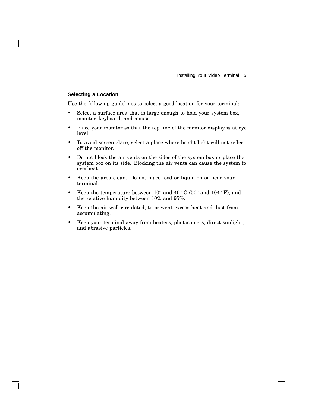#### **Selecting a Location**

Use the following guidelines to select a good location for your terminal:

- Select a surface area that is large enough to hold your system box, monitor, keyboard, and mouse.
- Place your monitor so that the top line of the monitor display is at eye level.
- To avoid screen glare, select a place where bright light will not reflect off the monitor.
- Do not block the air vents on the sides of the system box or place the system box on its side. Blocking the air vents can cause the system to overheat.
- Keep the area clean. Do not place food or liquid on or near your terminal.
- Keep the temperature between  $10^{\circ}$  and  $40^{\circ}$  C (50° and  $104^{\circ}$  F), and the relative humidity between 10% and 95%.
- Keep the air well circulated, to prevent excess heat and dust from accumulating.
- Keep your terminal away from heaters, photocopiers, direct sunlight, and abrasive particles.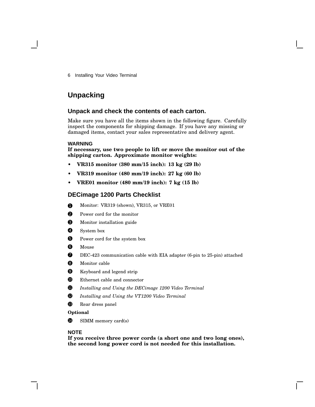## **Unpacking**

#### **Unpack and check the contents of each carton.**

Make sure you have all the items shown in the following figure. Carefully inspect the components for shipping damage. If you have any missing or damaged items, contact your sales representative and delivery agent.

#### **WARNING**

**If necessary, use two people to lift or move the monitor out of the shipping carton. Approximate monitor weights:**

- **• VR315 monitor (380 mm/15 inch): 13 kg (29 lb)**
- **• VR319 monitor (480 mm/19 inch): 27 kg (60 lb)**
- **• VRE01 monitor (480 mm/19 inch): 7 kg (15 lb)**

#### **DECimage 1200 Parts Checklist**

- **1** Monitor: VR319 (shown), VR315, or VRE01
- **2** Power cord for the monitor
- **3** Monitor installation guide
- **4** System box
- **5** Power cord for the system box
- **6** Mouse
- **7** DEC-423 communication cable with EIA adapter (6-pin to 25-pin) attached
- **8** Monitor cable
- **9** Keyboard and legend strip
- **10** Ethernet cable and connector
- <sup>11</sup> *Installing and Using the DECimage 1200 Video Terminal*
- <sup>12</sup> *Installing and Using the VT1200 Video Terminal*
- <sup>13</sup> Rear dress panel

#### **Optional**

<sup>1</sup> SIMM memory card(s)

#### **NOTE**

**If you receive three power cords (a short one and two long ones), the second long power cord is not needed for this installation.**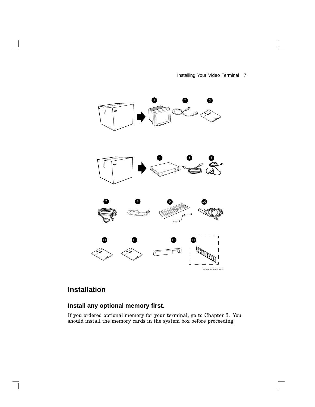Installing Your Video Terminal 7

 $\mathbf{I}$ 

 $\Gamma$ 



## **Installation**

 $\mathbf l$ 

 $\mathsf{l}$ 

## **Install any optional memory first.**

If you ordered optional memory for your terminal, go to Chapter 3. You should install the memory cards in the system box before proceeding.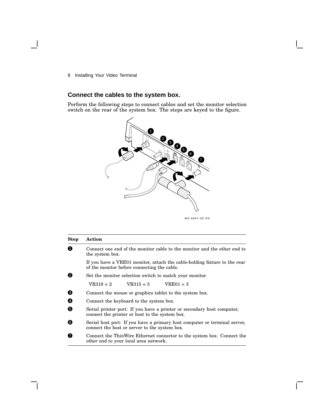## **Connect the cables to the system box.**

Perform the following steps to connect cables and set the monitor selection switch on the rear of the system box. The steps are keyed to the figure.



| <b>Step</b> | Action                                                                                                                     |  |  |
|-------------|----------------------------------------------------------------------------------------------------------------------------|--|--|
| 0           | Connect one end of the monitor cable to the monitor and the other end to<br>the system box.                                |  |  |
|             | If you have a VRE01 monitor, attach the cable-holding fixture to the rear<br>of the monitor before connecting the cable.   |  |  |
| 0           | Set the monitor selection switch to match your monitor.                                                                    |  |  |
|             | $VR319 = 2$<br>$VR315 = 5$<br>$VRE01 = 3$                                                                                  |  |  |
| ❸           | Connect the mouse or graphics tablet to the system box.                                                                    |  |  |
| Ø           | Connect the keyboard to the system box.                                                                                    |  |  |
| 6           | Serial printer port: If you have a printer or secondary host computer,<br>connect the printer or host to the system box.   |  |  |
| 6           | Serial host port: If you have a primary host computer or terminal server,<br>connect the host or server to the system box. |  |  |
| ø           | Connect the ThinWire Ethernet connector to the system box. Connect the<br>other end to your local area network.            |  |  |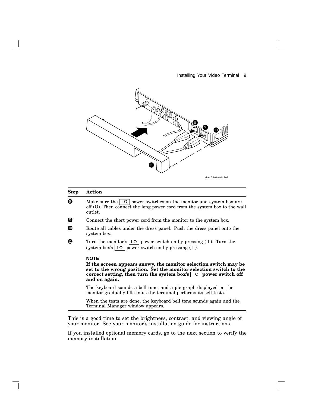

#### **Step Action**

- $\Theta$  Make sure the  $\boxed{10}$  power switches on the monitor and system box are off (O). Then connect the long power cord from the system box to the wall outlet.
- 9 Connect the short power cord from the monitor to the system box.
- **10** Route all cables under the dress panel. Push the dress panel onto the system box.
- **11** Turn the monitor's  $\boxed{10}$  power switch on by pressing (1). Turn the system box's  $\boxed{10}$  power switch on by pressing (1).

#### **NOTE**

**If the screen appears snowy, the monitor selection switch may be set to the wrong position. Set the monitor selection switch to the correct setting**, **then turn the system box's**  $\boxed{10}$  **power switch** off **and on again.**

The keyboard sounds a bell tone, and a pie graph displayed on the monitor gradually fills in as the terminal performs its self-tests.

When the tests are done, the keyboard bell tone sounds again and the Terminal Manager window appears.

This is a good time to set the brightness, contrast, and viewing angle of your monitor. See your monitor's installation guide for instructions.

If you installed optional memory cards, go to the next section to verify the memory installation.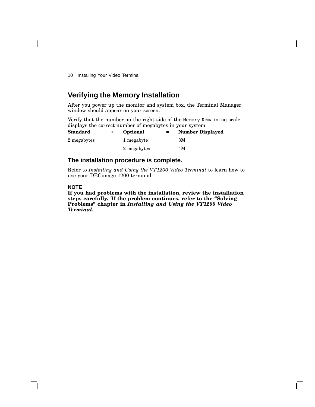## **Verifying the Memory Installation**

After you power up the monitor and system box, the Terminal Manager window should appear on your screen.

Verify that the number on the right side of the Memory Remaining scale displays the correct number of megabytes in your system.

| <b>Standard</b> | Optional    | $=$ | <b>Number Displayed</b> |
|-----------------|-------------|-----|-------------------------|
| 2 megabytes     | 1 megabyte  |     | ЗM                      |
|                 | 2 megabytes |     | 4M                      |

#### **The installation procedure is complete.**

Refer to *Installing and Using the VT1200 Video Terminal* to learn how to use your DECimage 1200 terminal.

#### **NOTE**

**If you had problems with the installation, review the installation steps carefully. If the problem continues, refer to the ''Solving Problems'' chapter in** *Installing and Using the VT1200 Video Terminal***.**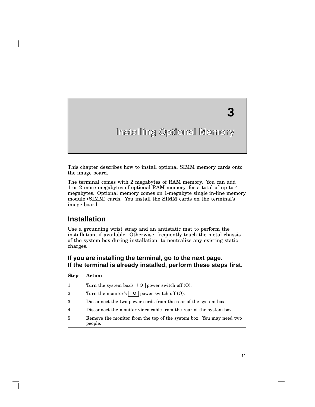# **Installing Optional Memory**

**3**

This chapter describes how to install optional SIMM memory cards onto the image board.

The terminal comes with 2 megabytes of RAM memory. You can add 1 or 2 more megabytes of optional RAM memory, for a total of up to 4 megabytes. Optional memory comes on 1-megabyte single in-line memory module (SIMM) cards. You install the SIMM cards on the terminal's image board.

## **Installation**

Use a grounding wrist strap and an antistatic mat to perform the installation, if available. Otherwise, frequently touch the metal chassis of the system box during installation, to neutralize any existing static charges.

#### **If you are installing the terminal, go to the next page. If the terminal is already installed, perform these steps first.**

| <b>Step</b>    | Action                                                                         |
|----------------|--------------------------------------------------------------------------------|
| 1              | Turn the system box's $\boxed{10}$ power switch off (O).                       |
| $\overline{2}$ | Turn the monitor's $\boxed{10}$ power switch off (O).                          |
| 3              | Disconnect the two power cords from the rear of the system box.                |
| $\overline{4}$ | Disconnect the monitor video cable from the rear of the system box.            |
| 5              | Remove the monitor from the top of the system box. You may need two<br>people. |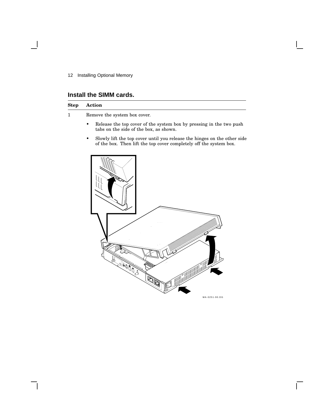12 Installing Optional Memory

## **Install the SIMM cards.**

| Step | <b>Action</b>                                                                                                                                       |  |  |  |  |
|------|-----------------------------------------------------------------------------------------------------------------------------------------------------|--|--|--|--|
|      | Remove the system box cover.                                                                                                                        |  |  |  |  |
|      | Release the top cover of the system box by pressing in the two push<br>$\bullet$<br>tabs on the side of the box, as shown.                          |  |  |  |  |
|      | Slowly lift the top cover until you release the hinges on the other side<br>٠<br>of the box. Then lift the top cover completely off the system box. |  |  |  |  |
|      |                                                                                                                                                     |  |  |  |  |



Ē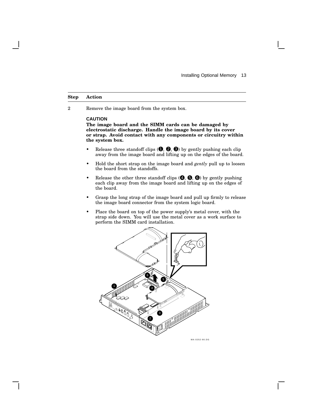#### **Step Action**

2 Remove the image board from the system box.

#### **CAUTION**

**The image board and the SIMM cards can be damaged by electrostatic discharge. Handle the image board by its cover or strap. Avoid contact with any components or circuitry within the system box.**

- Release three standoff clips  $(①, ②, ③)$  by gently pushing each clip away from the image board and lifting up on the edges of the board.
- Hold the short strap on the image board and *gently* pull up to loosen the board from the standoffs.
- Release the other three standoff clips  $(①, ⑤, ③)$  by gently pushing each clip away from the image board and lifting up on the edges of the board.
- Grasp the long strap of the image board and pull up firmly to release the image board connector from the system logic board.
- Place the board on top of the power supply's metal cover, with the strap side down. You will use the metal cover as a work surface to perform the SIMM card installation.

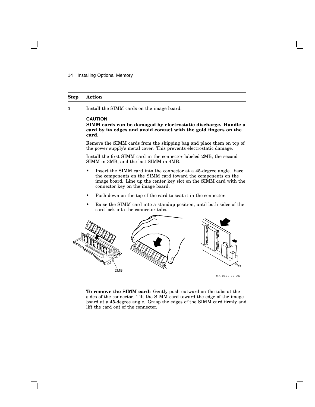14 Installing Optional Memory

#### **Step Action**

3 Install the SIMM cards on the image board.

#### **CAUTION**

**SIMM cards can be damaged by electrostatic discharge. Handle a card by its edges and avoid contact with the gold fingers on the card.**

Remove the SIMM cards from the shipping bag and place them on top of the power supply's metal cover. This prevents electrostatic damage.

Install the first SIMM card in the connector labeled 2MB, the second SIMM in 3MB, and the last SIMM in 4MB.

- Insert the SIMM card into the connector at a 45-degree angle. Face the components on the SIMM card toward the components on the image board. Line up the center key slot on the SIMM card with the connector key on the image board.
- Push down on the top of the card to seat it in the connector.
- Raise the SIMM card into a standup position, until both sides of the card lock into the connector tabs.



**To remove the SIMM card:** Gently push outward on the tabs at the sides of the connector. Tilt the SIMM card toward the edge of the image board at a 45-degree angle. Grasp the edges of the SIMM card firmly and lift the card out of the connector.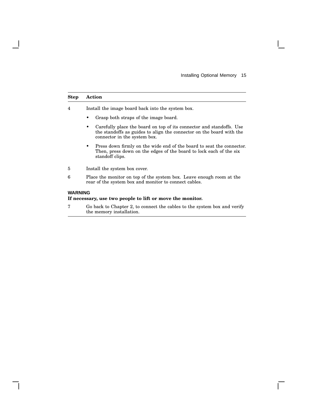#### **Step Action**

4 Install the image board back into the system box.

- Grasp both straps of the image board.
- Carefully place the board on top of its connector and standoffs. Use the standoffs as guides to align the connector on the board with the connector in the system box.
- Press down firmly on the wide end of the board to seat the connector. Then, press down on the edges of the board to lock each of the six standoff clips.
- 5 Install the system box cover.
- 6 Place the monitor on top of the system box. Leave enough room at the rear of the system box and monitor to connect cables.

#### **WARNING**

#### **If necessary, use two people to lift or move the monitor.**

7 Go back to Chapter 2, to connect the cables to the system box and verify the memory installation.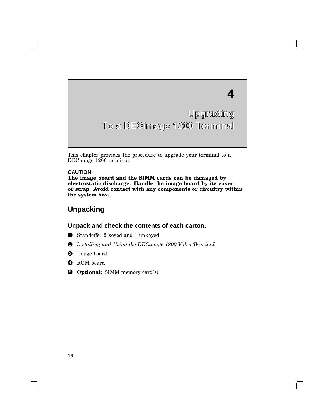

This chapter provides the procedure to upgrade your terminal to a DECimage 1200 terminal.

#### **CAUTION**

**The image board and the SIMM cards can be damaged by electrostatic discharge. Handle the image board by its cover or strap. Avoid contact with any components or circuitry within the system box.**

## **Unpacking**

#### **Unpack and check the contents of each carton.**

- 1 Standoffs: 2 keyed and 1 unkeyed
- 2 *Installing and Using the DECimage 1200 Video Terminal*
- **3** Image board
- **4** ROM board
- 5 **Optional:** SIMM memory card(s)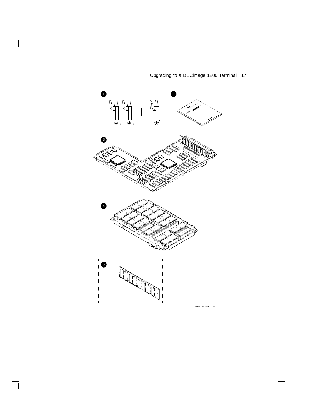

 $\overline{\phantom{a}}$ 

 $\overline{\phantom{a}}$ 

## Upgrading to a DECimage 1200 Terminal 17

 $\mathbf{I}$ 

 $\overline{\Gamma}$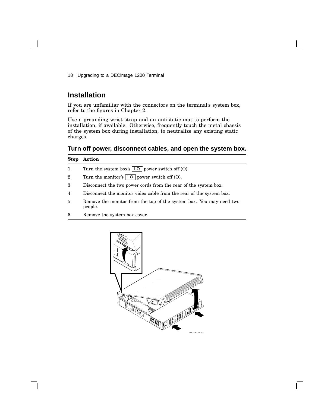## **Installation**

If you are unfamiliar with the connectors on the terminal's system box, refer to the figures in Chapter 2.

Use a grounding wrist strap and an antistatic mat to perform the installation, if available. Otherwise, frequently touch the metal chassis of the system box during installation, to neutralize any existing static charges.

#### **Turn off power, disconnect cables, and open the system box.**

#### **Step Action**

- 1 Turn the system box's  $\boxed{10}$  power switch off (O).
- 2 Turn the monitor's  $\boxed{10}$  power switch off (O).
- 3 Disconnect the two power cords from the rear of the system box.
- 4 Disconnect the monitor video cable from the rear of the system box.
- 5 Remove the monitor from the top of the system box. You may need two people.
- 6 Remove the system box cover.

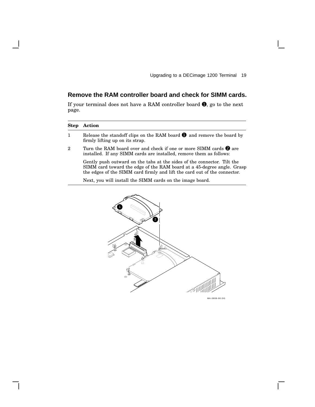## **Remove the RAM controller board and check for SIMM cards.**

If your terminal does not have a RAM controller board  $\bullet$ , go to the next page.

| <b>Step</b> | Action                                                                                                                                                                                                                         |
|-------------|--------------------------------------------------------------------------------------------------------------------------------------------------------------------------------------------------------------------------------|
| 1           | Release the standoff clips on the RAM board $\bullet$ and remove the board by<br>firmly lifting up on its strap.                                                                                                               |
| $\mathbf 2$ | Turn the RAM board over and check if one or more SIMM cards $\bullet$ are<br>installed. If any SIMM cards are installed, remove them as follows:                                                                               |
|             | Gently push outward on the tabs at the sides of the connector. Tilt the<br>SIMM card toward the edge of the RAM board at a 45-degree angle. Grasp<br>the edges of the SIMM card firmly and lift the card out of the connector. |
|             | Next, you will install the SIMM cards on the image board.                                                                                                                                                                      |



 $\overline{\Gamma}$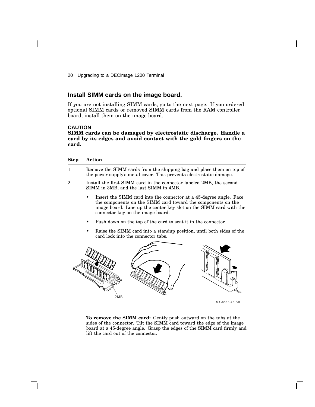#### **Install SIMM cards on the image board.**

If you are not installing SIMM cards, go to the next page. If you ordered optional SIMM cards or removed SIMM cards from the RAM controller board, install them on the image board.

#### **CAUTION**

**SIMM cards can be damaged by electrostatic discharge. Handle a card by its edges and avoid contact with the gold fingers on the card.**

| Step         | <b>Action</b>                                                                                                                                                                                                                                 |  |  |  |
|--------------|-----------------------------------------------------------------------------------------------------------------------------------------------------------------------------------------------------------------------------------------------|--|--|--|
| $\mathbf{1}$ | Remove the SIMM cards from the shipping bag and place them on top of<br>the power supply's metal cover. This prevents electrostatic damage.                                                                                                   |  |  |  |
| 2            | Install the first SIMM card in the connector labeled 2MB, the second<br>SIMM in 3MB, and the last SIMM in 4MB.                                                                                                                                |  |  |  |
|              | Insert the SIMM card into the connector at a 45-degree angle. Face<br>the components on the SIMM card toward the components on the<br>image board. Line up the center key slot on the SIMM card with the<br>connector key on the image board. |  |  |  |
|              | Push down on the top of the card to seat it in the connector.                                                                                                                                                                                 |  |  |  |
|              | Raise the SIMM card into a standup position, until both sides of the<br>card lock into the connector tabs.                                                                                                                                    |  |  |  |
|              | 2MB<br>MA-0508-90.DG                                                                                                                                                                                                                          |  |  |  |
|              |                                                                                                                                                                                                                                               |  |  |  |

**To remove the SIMM card:** Gently push outward on the tabs at the sides of the connector. Tilt the SIMM card toward the edge of the image board at a 45-degree angle. Grasp the edges of the SIMM card firmly and lift the card out of the connector.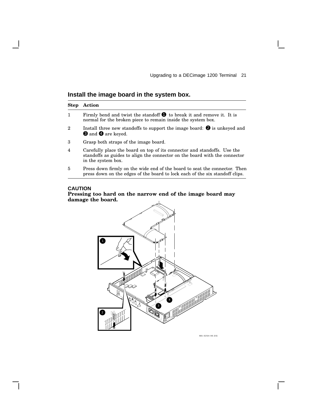## **Install the image board in the system box.**

| <b>Step</b>    | <b>Action</b>                                                                                                                                                                |
|----------------|------------------------------------------------------------------------------------------------------------------------------------------------------------------------------|
| $\mathbf{1}$   | Firmly bend and twist the standoff $\bigcirc$ to break it and remove it. It is<br>normal for the broken piece to remain inside the system box.                               |
| $\overline{2}$ | Install three new standoffs to support the image board: $\bullet$ is unkeyed and<br><b>O</b> and <b>O</b> are keyed.                                                         |
| 3              | Grasp both straps of the image board.                                                                                                                                        |
| 4              | Carefully place the board on top of its connector and standoffs. Use the<br>standoffs as guides to align the connector on the board with the connector<br>in the system box. |

5 Press down firmly on the wide end of the board to seat the connector. Then press down on the edges of the board to lock each of the six standoff clips.

#### **CAUTION**





GSF\_1362\_89.DG MA-0254-90.DG

 $\mathbf{L}$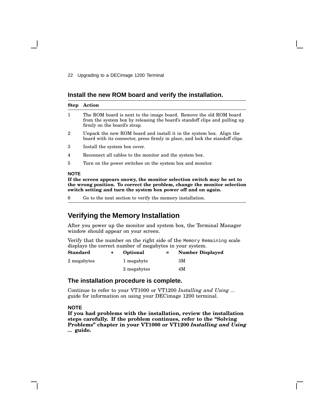#### **Install the new ROM board and verify the installation.**

| <b>Step</b>    | Action                                                                                                                                                                            |
|----------------|-----------------------------------------------------------------------------------------------------------------------------------------------------------------------------------|
| $\mathbf{1}$   | The ROM board is next to the image board. Remove the old ROM board<br>from the system box by releasing the board's stand off clips and pulling up<br>firmly on the board's strap. |
| $\overline{2}$ | Unpack the new ROM board and install it in the system box. Align the<br>board with its connector, press firmly in place, and lock the standoff clips.                             |
| 3              | Install the system box cover.                                                                                                                                                     |
| 4              | Reconnect all cables to the monitor and the system box.                                                                                                                           |
| 5              | Turn on the power switches on the system box and monitor.                                                                                                                         |
| <b>NOTE</b>    | If the sereon annoars snowy the monitor selection switch may be set to                                                                                                            |

**If the screen appears snowy, the monitor selection switch may be set to the wrong position. To correct the problem, change the monitor selection switch setting and turn the system box power off and on again.**

6 Go to the next section to verify the memory installation.

## **Verifying the Memory Installation**

After you power up the monitor and system box, the Terminal Manager window should appear on your screen.

Verify that the number on the right side of the Memory Remaining scale displays the correct number of megabytes in your system.

| <b>Standard</b> | Optional    | $=$ | <b>Number Displayed</b> |
|-----------------|-------------|-----|-------------------------|
| 2 megabytes     | 1 megabyte  |     | ЗM                      |
|                 | 2 megabytes |     | 4M                      |

#### **The installation procedure is complete.**

Continue to refer to your VT1000 or VT1200 *Installing and Using ...* guide for information on using your DECimage 1200 terminal.

#### **NOTE**

**If you had problems with the installation, review the installation steps carefully. If the problem continues, refer to the ''Solving Problems'' chapter in your VT1000 or VT1200** *Installing and Using ...* **guide.**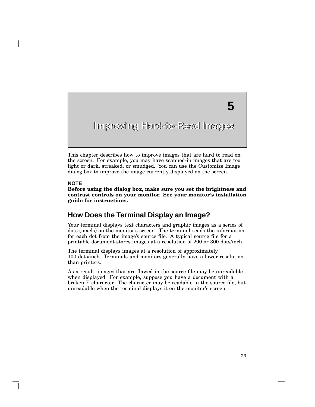## **5**

**Improving Hard-to-Read Images**

This chapter describes how to improve images that are hard to read on the screen. For example, you may have scanned-in images that are too light or dark, streaked, or smudged. You can use the Customize Image dialog box to improve the image currently displayed on the screen.

#### **NOTE**

**Before using the dialog box, make sure you set the brightness and contrast controls on your monitor. See your monitor's installation guide for instructions.**

## **How Does the Terminal Display an Image?**

Your terminal displays text characters and graphic images as a series of dots (pixels) on the monitor's screen. The terminal reads the information for each dot from the image's source file. A typical source file for a printable document stores images at a resolution of 200 or 300 dots/inch.

The terminal displays images at a resolution of approximately 100 dots/inch. Terminals and monitors generally have a lower resolution than printers.

As a result, images that are flawed in the source file may be unreadable when displayed. For example, suppose you have a document with a broken E character. The character may be readable in the source file, but unreadable when the terminal displays it on the monitor's screen.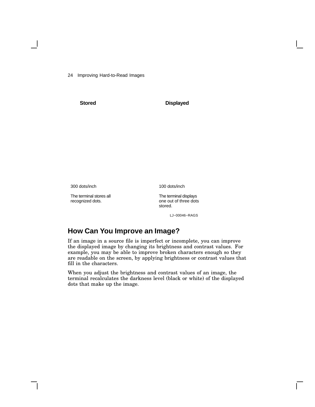24 Improving Hard-to-Read Images

**Stored Displayed**

300 dots/inch

The terminal stores all recognized dots.

100 dots/inch

The terminal displays one out of three dots stored.

LJ−00046−RAGS

## **How Can You Improve an Image?**

If an image in a source file is imperfect or incomplete, you can improve the displayed image by changing its brightness and contrast values. For example, you may be able to improve broken characters enough so they are readable on the screen, by applying brightness or contrast values that fill in the characters.

When you adjust the brightness and contrast values of an image, the terminal recalculates the darkness level (black or white) of the displayed dots that make up the image.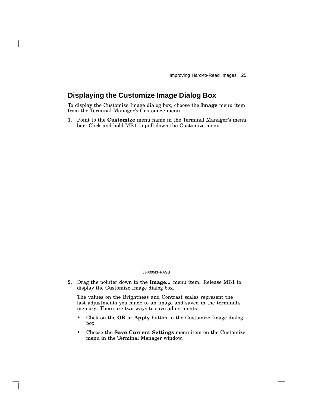## **Displaying the Customize Image Dialog Box**

To display the Customize Image dialog box, choose the **Image** menu item from the Terminal Manager's Customize menu.

1. Point to the **Customize** menu name in the Terminal Manager's menu bar. Click and hold MB1 to pull down the Customize menu.

#### LJ−00043−RAGS

2. Drag the pointer down to the **Image...** menu item. Release MB1 to display the Customize Image dialog box.

The values on the Brightness and Contrast scales represent the last adjustments you made to an image and saved in the terminal's memory. There are two ways to save adjustments:

- Click on the **OK** or **Apply** button in the Customize Image dialog box
- Choose the **Save Current Settings** menu item on the Customize menu in the Terminal Manager window.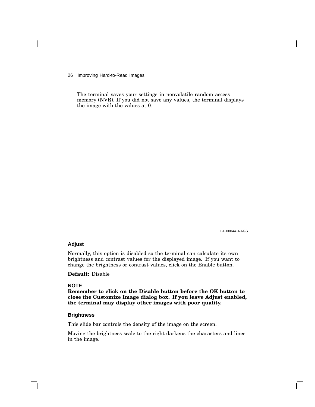26 Improving Hard-to-Read Images

The terminal saves your settings in nonvolatile random access memory (NVR). If you did not save any values, the terminal displays the image with the values at 0.

LJ−00044−RAGS

#### **Adjust**

Normally, this option is disabled so the terminal can calculate its own brightness and contrast values for the displayed image. If you want to change the brightness or contrast values, click on the Enable button.

**Default:** Disable

#### **NOTE**

**Remember to click on the Disable button before the OK button to close the Customize Image dialog box. If you leave Adjust enabled, the terminal may display other images with poor quality.**

#### **Brightness**

This slide bar controls the density of the image on the screen.

Moving the brightness scale to the right darkens the characters and lines in the image.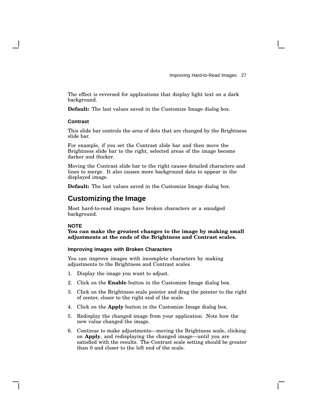The effect is reversed for applications that display light text on a dark background.

**Default:** The last values saved in the Customize Image dialog box.

#### **Contrast**

This slide bar controls the area of dots that are changed by the Brightness slide bar.

For example, if you set the Contrast slide bar and then move the Brightness slide bar to the right, selected areas of the image become darker and thicker.

Moving the Contrast slide bar to the right causes detailed characters and lines to merge. It also causes more background data to appear in the displayed image.

**Default:** The last values saved in the Customize Image dialog box.

## **Customizing the Image**

Most hard-to-read images have broken characters or a smudged background.

#### **NOTE**

**You can make the greatest changes to the image by making small adjustments at the ends of the Brightness and Contrast scales.**

#### **Improving Images with Broken Characters**

You can improve images with incomplete characters by making adjustments to the Brightness and Contrast scales.

- 1. Display the image you want to adjust.
- 2. Click on the **Enable** button in the Customize Image dialog box.
- 3. Click on the Brightness scale pointer and drag the pointer to the right of center, closer to the right end of the scale.
- 4. Click on the **Apply** button in the Customize Image dialog box.
- 5. Redisplay the changed image from your application. Note how the new value changed the image.
- 6. Continue to make adjustments—moving the Brightness scale, clicking on **Apply**, and redisplaying the changed image—until you are satisfied with the results. The Contrast scale setting should be greater than 0 and closer to the left end of the scale.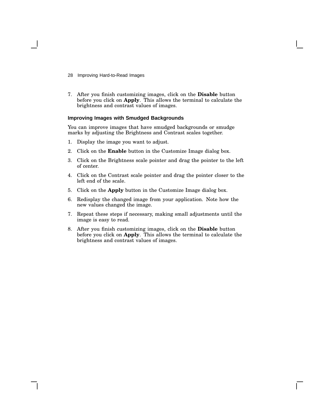- 28 Improving Hard-to-Read Images
- 7. After you finish customizing images, click on the **Disable** button before you click on **Apply**. This allows the terminal to calculate the brightness and contrast values of images.

#### **Improving Images with Smudged Backgrounds**

You can improve images that have smudged backgrounds or smudge marks by adjusting the Brightness and Contrast scales together.

- 1. Display the image you want to adjust.
- 2. Click on the **Enable** button in the Customize Image dialog box.
- 3. Click on the Brightness scale pointer and drag the pointer to the left of center.
- 4. Click on the Contrast scale pointer and drag the pointer closer to the left end of the scale.
- 5. Click on the **Apply** button in the Customize Image dialog box.
- 6. Redisplay the changed image from your application. Note how the new values changed the image.
- 7. Repeat these steps if necessary, making small adjustments until the image is easy to read.
- 8. After you finish customizing images, click on the **Disable** button before you click on **Apply**. This allows the terminal to calculate the brightness and contrast values of images.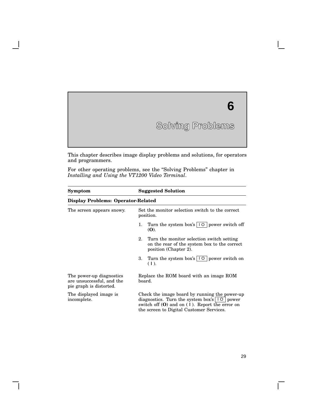# **Solving Problems 6**

This chapter describes image display problems and solutions, for operators and programmers.

For other operating problems, see the "Solving Problems" chapter in *Installing and Using the VT1200 Video Terminal*.

| Symptom                                                                          | <b>Suggested Solution</b>                                                                                                                                                                                              |  |  |
|----------------------------------------------------------------------------------|------------------------------------------------------------------------------------------------------------------------------------------------------------------------------------------------------------------------|--|--|
| <b>Display Problems: Operator-Related</b>                                        |                                                                                                                                                                                                                        |  |  |
| The screen appears snowy.                                                        | Set the monitor selection switch to the correct<br>position.                                                                                                                                                           |  |  |
|                                                                                  | Turn the system box's $\vert \vert \circ \vert$ power switch off<br>1.<br>(O).                                                                                                                                         |  |  |
|                                                                                  | 2.<br>Turn the monitor selection switch setting<br>on the rear of the system box to the correct<br>position (Chapter 2).                                                                                               |  |  |
|                                                                                  | Turn the system box's $\vert \cdot \vert$ o $\vert$ power switch on<br>3.<br>$(1)$ .                                                                                                                                   |  |  |
| The power-up diagnostics<br>are unsuccessful, and the<br>pie graph is distorted. | Replace the ROM board with an image ROM<br>board.                                                                                                                                                                      |  |  |
| The displayed image is<br>incomplete.                                            | Check the image board by running the power-up<br>diagnostics. Turn the system box's $\vert \vert \circ \vert$ power<br>switch off $(0)$ and on $(1)$ . Report the error on<br>the screen to Digital Customer Services. |  |  |

 $\overline{\Gamma}$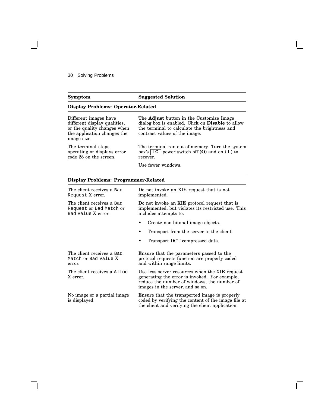#### 30 Solving Problems

#### **Symptom Suggested Solution Display Problems: Operator-Related** Different images have different display qualities, or the quality changes when the application changes the image size. The **Adjust** button in the Customize Image dialog box is enabled. Click on **Disable** to allow the terminal to calculate the brightness and contrast values of the image. The terminal stops operating or displays error code 28 on the screen. The terminal ran out of memory. Turn the system box's l O power switch off (**O**) and on ( **|** ) to recover. Use fewer windows.

#### **Display Problems: Programmer-Related**

| The client receives a Bad<br>Request X error.                              | Do not invoke an XIE request that is not<br>implemented.                                                                                                                           |  |  |
|----------------------------------------------------------------------------|------------------------------------------------------------------------------------------------------------------------------------------------------------------------------------|--|--|
| The client receives a Bad<br>Request or Bad Match or<br>Bad Value X error. | Do not invoke an XIE protocol request that is<br>implemented, but violates its restricted use. This<br>includes attempts to:                                                       |  |  |
|                                                                            | Create non-bitonal image objects.                                                                                                                                                  |  |  |
|                                                                            | Transport from the server to the client.                                                                                                                                           |  |  |
|                                                                            | Transport DCT compressed data.                                                                                                                                                     |  |  |
|                                                                            |                                                                                                                                                                                    |  |  |
| The client receives a Bad<br>Match or Bad Value X<br>error.                | Ensure that the parameters passed to the<br>protocol requests function are properly coded<br>and within range limits.                                                              |  |  |
| The client receives a Alloc<br>X error.                                    | Use less server resources when the XIE request<br>generating the error is invoked. For example,<br>reduce the number of windows, the number of<br>images in the server, and so on. |  |  |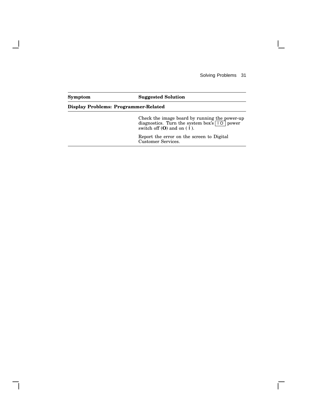Solving Problems 31

 $\mathsf{L}$ 

## **Symptom Suggested Solution Display Problems: Programmer-Related** Check the image board by running the power-up diagnostics. Turn the system box's |  $\vert \circ \vert$  power switch off (**O**) and on ( **|** ). Report the error on the screen to Digital Customer Services.

 $\mathbf l$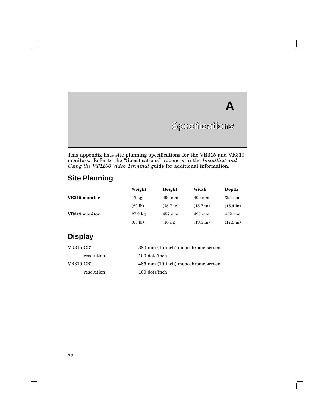# **A** Specifications

 $\overline{\Gamma}$ 

This appendix lists site planning specifications for the VR315 and VR319 monitors. Refer to the ''Specifications'' appendix in the *Installing and Using the VT1200 Video Terminal* guide for additional information.

## **Site Planning**

**Specifications**

**A**

|               | Weight            | Height              | Width               | Depth               |
|---------------|-------------------|---------------------|---------------------|---------------------|
| VR315 monitor | $13 \text{ kg}$   | $400$ mm            | $400$ mm            | $395 \text{ mm}$    |
|               | (29 lb)           | $(15.7 \text{ in})$ | $(15.7 \text{ in})$ | $(15.4 \text{ in})$ |
| VR319 monitor | $27.2 \text{ kg}$ | $457$ mm            | $495$ mm            | $452 \text{ mm}$    |
|               | (60 lb)           | $(18$ in)           | $(19.5 \text{ in})$ | $(17.8 \text{ in})$ |

## **Display**

| VR315 CRT  | 380 mm (15 inch) monochrome screen |
|------------|------------------------------------|
| resolution | $100$ dots/inch                    |
| VR319 CRT  | 485 mm (19 inch) monochrome screen |
| resolution | $100$ dots/inch                    |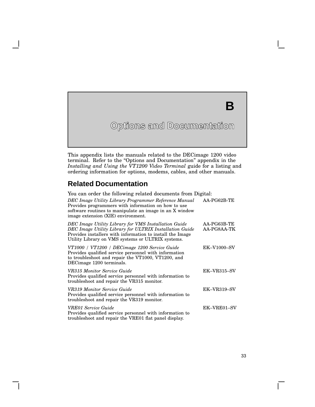# **Options and Documentation B**

This appendix lists the manuals related to the DECimage 1200 video terminal. Refer to the "Options and Documentation" appendix in the *Installing and Using the VT1200 Video Terminal* guide for a listing and ordering information for options, modems, cables, and other manuals.

## **Related Documentation**

| You can order the following related documents from Digital:                                                                                                                                                                       |                            |
|-----------------------------------------------------------------------------------------------------------------------------------------------------------------------------------------------------------------------------------|----------------------------|
| DEC Image Utility Library Programmer Reference Manual<br>Provides programmers with information on how to use<br>software routines to manipulate an image in an X window<br>image extension (XIE) environment.                     | AA-PG62B-TE                |
| DEC Image Utility Library for VMS Installation Guide<br>DEC Image Utility Library for ULTRIX Installation Guide<br>Provides installers with information to install the Image<br>Utility Library on VMS systems or ULTRIX systems. | AA-PG63B-TE<br>AA-PG8AA-TK |
| VT1000 / VT1200 / DECimage 1200 Service Guide<br>Provides qualified service personnel with information<br>to troubleshoot and repair the VT1000, VT1200, and<br>DECimage 1200 terminals.                                          | <b>EK-V1000-SV</b>         |
| VR315 Monitor Service Guide<br>Provides qualified service personnel with information to<br>troubleshoot and repair the VR315 monitor.                                                                                             | $EK-VR315-SV$              |
| VR319 Monitor Service Guide<br>Provides qualified service personnel with information to<br>troubleshoot and repair the VR319 monitor.                                                                                             | $EK-VR319-SV$              |
| VRE01 Service Guide<br>Provides qualified service personnel with information to<br>troubleshoot and repair the VRE01 flat panel display.                                                                                          | EK-VRE01-SV                |

 $\mathbf{L}$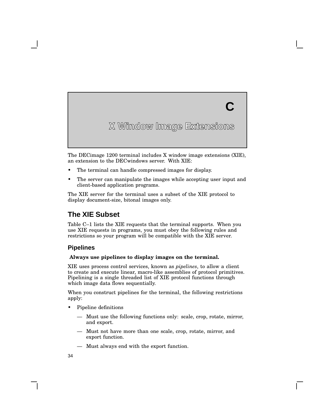**C**

The DECimage 1200 terminal includes X window image extensions (XIE), an extension to the DECwindows server. With XIE:

- The terminal can handle compressed images for display.
- The server can manipulate the images while accepting user input and client-based application programs.

The XIE server for the terminal uses a subset of the XIE protocol to display document-size, bitonal images only.

## **The XIE Subset**

Table C–1 lists the XIE requests that the terminal supports. When you use XIE requests in programs, you must obey the following rules and restrictions so your program will be compatible with the XIE server.

#### **Pipelines**

**C**

#### **Always use pipelines to display images on the terminal.**

XIE uses process control services, known as *pipelines*, to allow a client to create and execute linear, macro-like assemblies of protocol primitives. Pipelining is a single threaded list of XIE protocol functions through which image data flows sequentially.

When you construct pipelines for the terminal, the following restrictions apply:

- Pipeline definitions
	- Must use the following functions only: scale, crop, rotate, mirror, and export.
	- Must not have more than one scale, crop, rotate, mirror, and export function.
	- Must always end with the export function.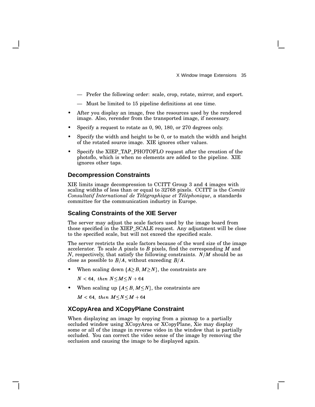- Prefer the following order: scale, crop, rotate, mirror, and export.
- Must be limited to 15 pipeline definitions at one time.
- After you display an image, free the resources used by the rendered image. Also, rerender from the transported image, if necessary.
- Specify a request to rotate as 0, 90, 180, or 270 degrees only.
- Specify the width and height to be 0, or to match the width and height of the rotated source image. XIE ignores other values.
- Specify the XIEP TAP PHOTOFLO request after the creation of the photoflo, which is when no elements are added to the pipeline. XIE ignores other taps.

#### **Decompression Constraints**

XIE limits image decompression to CCITT Group 3 and 4 images with scaling widths of less than or equal to 32768 pixels. CCITT is the *Comitè Consultatif International de Télégraphique et Téléphonique*, a standards committee for the communication industry in Europe.

#### **Scaling Constraints of the XIE Server**

The server may adjust the scale factors used by the image board from those specified in the XIEP\_SCALE request. Any adjustment will be close to the specified scale, but will not exceed the specified scale.

The server restricts the scale factors because of the word size of the image accelerator. To scale *A* pixels to *B* pixels, find the corresponding *M* and *N*, respectively, that satisfy the following constraints.  $N/M$  should be as close as possible to  $B/A$ , without exceeding  $B/A$ .

• When scaling down  $(A \geq B, M \geq N)$ , the constraints are

 $N < 64$ , then  $N < M < N + 64$ 

• When scaling up  $(A \leq B, M \leq N)$ , the constraints are

 $M < 64$ , then  $M$   $\leq$   $N$   $\leq$   $M$   $+$   $64$ 

#### **XCopyArea and XCopyPlane Constraint**

When displaying an image by copying from a pixmap to a partially occluded window using XCopyArea or XCopyPlane, Xie may display some or all of the image in reverse video in the window that is partially occluded. You can correct the video sense of the image by removing the occlusion and causing the image to be displayed again.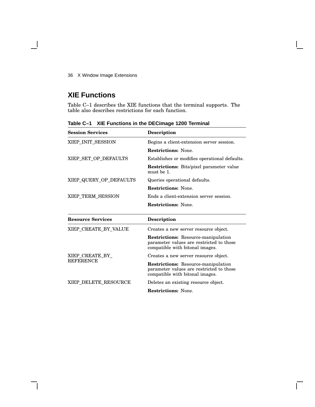## **XIE Functions**

Table C–1 describes the XIE functions that the terminal supports. The table also describes restrictions for each function.

| <b>Session Services</b>  | <b>Description</b>                                                                                                        |
|--------------------------|---------------------------------------------------------------------------------------------------------------------------|
| XIEP_INIT_SESSION        | Begins a client-extension server session.                                                                                 |
|                          | <b>Restrictions:</b> None.                                                                                                |
| XIEP_SET_OP_DEFAULTS     | Establishes or modifies operational defaults.                                                                             |
|                          | <b>Restrictions:</b> Bits/pixel parameter value<br>must be 1.                                                             |
| XIEP_QUERY_OP_DEFAULTS   | Queries operational defaults.                                                                                             |
|                          | <b>Restrictions:</b> None.                                                                                                |
| XIEP_TERM_SESSION        | Ends a client-extension server session.                                                                                   |
|                          | <b>Restrictions:</b> None.                                                                                                |
| <b>Resource Services</b> | <b>Description</b>                                                                                                        |
|                          |                                                                                                                           |
| XIEP_CREATE_BY_VALUE     | Creates a new server resource object.                                                                                     |
|                          | <b>Restrictions:</b> Resource-manipulation<br>parameter values are restricted to those<br>compatible with bitonal images. |
| XIEP CREATE BY           | Creates a new server resource object.                                                                                     |
| <b>REFERENCE</b>         | <b>Restrictions:</b> Resource-manipulation<br>parameter values are restricted to those<br>compatible with bitonal images. |
| XIEP_DELETE_RESOURCE     | Deletes an existing resource object.                                                                                      |

**Table C–1 XIE Functions in the DECimage 1200 Terminal**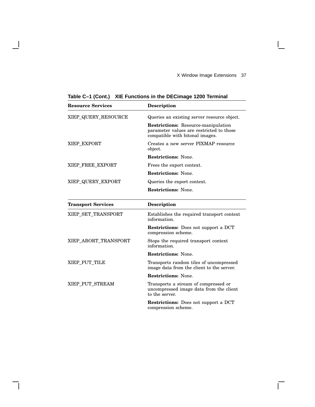$\overline{\Gamma}$ 

| <b>Resource Services</b>  | <b>Description</b>                                                                                                 |
|---------------------------|--------------------------------------------------------------------------------------------------------------------|
| XIEP_QUERY_RESOURCE       | Queries an existing server resource object.                                                                        |
|                           | Restrictions: Resource-manipulation<br>parameter values are restricted to those<br>compatible with bitonal images. |
| XIEP_EXPORT               | Creates a new server PIXMAP resource<br>object.                                                                    |
|                           | <b>Restrictions: None.</b>                                                                                         |
| XIEP_FREE_EXPORT          | Frees the export context.                                                                                          |
|                           | <b>Restrictions: None.</b>                                                                                         |
| XIEP_QUERY_EXPORT         | Queries the export context.                                                                                        |
|                           | <b>Restrictions: None.</b>                                                                                         |
| <b>Transport Services</b> | <b>Description</b>                                                                                                 |
| XIEP SET TRANSPORT        | Establishes the required transport context<br>information.                                                         |
|                           | <b>Restrictions:</b> Does not support a DCT<br>compression scheme.                                                 |
| XIEP_ABORT_TRANSPORT      | Stops the required transport context<br>information.                                                               |
|                           | <b>Restrictions: None.</b>                                                                                         |
| XIEP PUT TILE             | Transports random tiles of uncompressed<br>image data from the client to the server.                               |
|                           | <b>Restrictions: None.</b>                                                                                         |
| XIEP_PUT_STREAM           | Transports a stream of compressed or<br>uncompressed image data from the client<br>to the server.                  |
|                           | <b>Restrictions:</b> Does not support a DCT<br>compression scheme.                                                 |

**Table C–1 (Cont.) XIE Functions in the DECimage 1200 Terminal**

 $\overline{\phantom{a}}$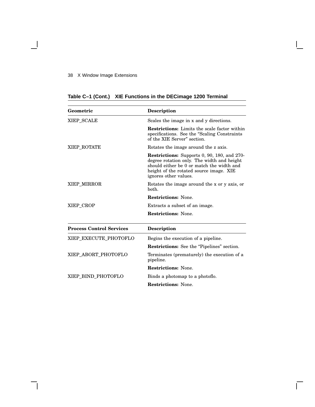$\blacksquare$ 

| Geometric                       | <b>Description</b>                                                                                                                                                                                         |
|---------------------------------|------------------------------------------------------------------------------------------------------------------------------------------------------------------------------------------------------------|
| XIEP SCALE                      | Scales the image in x and y directions.                                                                                                                                                                    |
|                                 | <b>Restrictions:</b> Limits the scale factor within<br>specifications. See the "Scaling Constraints"<br>of the XIE Server" section.                                                                        |
| XIEP_ROTATE                     | Rotates the image around the z axis.                                                                                                                                                                       |
|                                 | Restrictions: Supports 0, 90, 180, and 270-<br>degree rotation only. The width and height<br>should either be 0 or match the width and<br>height of the rotated source image. XIE<br>ignores other values. |
| XIEP_MIRROR                     | Rotates the image around the x or y axis, or<br>hoth.                                                                                                                                                      |
|                                 | <b>Restrictions: None.</b>                                                                                                                                                                                 |
| XIEP CROP                       | Extracts a subset of an image.                                                                                                                                                                             |
|                                 | <b>Restrictions: None.</b>                                                                                                                                                                                 |
| <b>Process Control Services</b> | <b>Description</b>                                                                                                                                                                                         |
| XIEP EXECUTE PHOTOFLO           | Begins the execution of a pipeline.                                                                                                                                                                        |
|                                 | Restrictions: See the "Pipelines" section.                                                                                                                                                                 |
| XIEP ABORT PHOTOFLO             | Terminates (prematurely) the execution of a<br>pipeline.                                                                                                                                                   |
|                                 | <b>Restrictions: None.</b>                                                                                                                                                                                 |
| XIEP BIND PHOTOFLO              | Binds a photomap to a photoflo.                                                                                                                                                                            |
|                                 | <b>Restrictions:</b> None.                                                                                                                                                                                 |

 $\overline{\Gamma}$ 

## **Table C–1 (Cont.) XIE Functions in the DECimage 1200 Terminal**